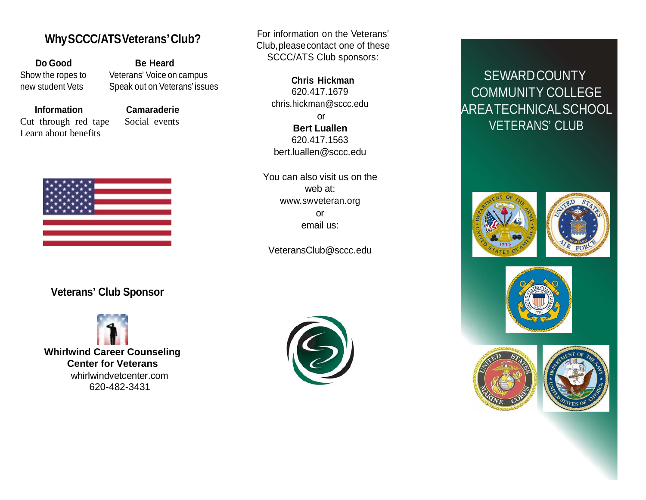# **WhySCCC/ATSVeterans'Club?**

**Do Good Be Heard**

Show the ropes to Veterans' Voice on campus new student Vets Speak out on Veterans' issues

Cut through red tape Social events Learn about benefits

**Information Camaraderie**



#### For information on the Veterans' Club,pleasecontact one of these SCCC/ATS Club sponsors:

**Chris Hickman** 620.417.1679 [chris.hickman@sccc.edu](mailto:chris.hickman@sccc.edu) or **Bert Luallen** 620.417.1563 bert.luallen@sccc.edu

You can also visit us on the web at: [www.swveteran.org](http://www.swveteran.org/) or email us:

VeteransClub@sccc.edu

# SEWARDCOUNTY COMMUNITY COLLEGE AREATECHNICALSCHOOL VETERANS' CLUB









## **Veterans' Club Sponsor**